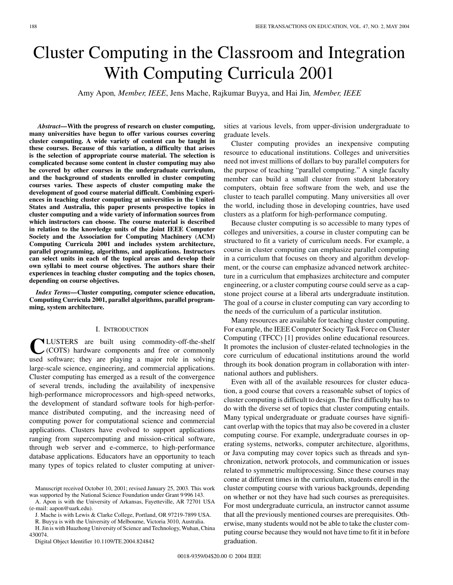# Cluster Computing in the Classroom and Integration With Computing Curricula 2001

Amy Apon*, Member, IEEE*, Jens Mache, Rajkumar Buyya, and Hai Jin*, Member, IEEE*

*Abstract—***With the progress of research on cluster computing, many universities have begun to offer various courses covering cluster computing. A wide variety of content can be taught in these courses. Because of this variation, a difficulty that arises is the selection of appropriate course material. The selection is complicated because some content in cluster computing may also be covered by other courses in the undergraduate curriculum, and the background of students enrolled in cluster computing courses varies. These aspects of cluster computing make the development of good course material difficult. Combining experiences in teaching cluster computing at universities in the United States and Australia, this paper presents prospective topics in cluster computing and a wide variety of information sources from which instructors can choose. The course material is described in relation to the knowledge units of the Joint IEEE Computer Society and the Association for Computing Machinery (ACM) Computing Curricula 2001 and includes system architecture, parallel programming, algorithms, and applications. Instructors can select units in each of the topical areas and develop their own syllabi to meet course objectives. The authors share their experiences in teaching cluster computing and the topics chosen, depending on course objectives.**

*Index Terms—***Cluster computing, computer science education, Computing Curricula 2001, parallel algorithms, parallel programming, system architecture.**

#### I. INTRODUCTION

**C**LUSTERS are built using commodity-off-the-shelf (COTS) hardware components and free or commonly used software; they are playing a major role in solving large-scale science, engineering, and commercial applications. Cluster computing has emerged as a result of the convergence of several trends, including the availability of inexpensive high-performance microprocessors and high-speed networks, the development of standard software tools for high-performance distributed computing, and the increasing need of computing power for computational science and commercial applications. Clusters have evolved to support applications ranging from supercomputing and mission-critical software, through web server and e-commerce, to high-performance database applications. Educators have an opportunity to teach many types of topics related to cluster computing at univer-

Manuscript received October 10, 2001; revised January 25, 2003. This work was supported by the National Science Foundation under Grant 9 996 143.

A. Apon is with the University of Arkansas, Fayetteville, AR 72701 USA (e-mail: aapon@uark.edu).

J. Mache is with Lewis & Clarke College, Portland, OR 97219-7899 USA. R. Buyya is with the University of Melbourne, Victoria 3010, Australia.

H. Jin is with Huazhong University of Science and Technology, Wuhan, China 430074.

Digital Object Identifier 10.1109/TE.2004.824842

sities at various levels, from upper-division undergraduate to graduate levels.

Cluster computing provides an inexpensive computing resource to educational institutions. Colleges and universities need not invest millions of dollars to buy parallel computers for the purpose of teaching "parallel computing." A single faculty member can build a small cluster from student laboratory computers, obtain free software from the web, and use the cluster to teach parallel computing. Many universities all over the world, including those in developing countries, have used clusters as a platform for high-performance computing.

Because cluster computing is so accessible to many types of colleges and universities, a course in cluster computing can be structured to fit a variety of curriculum needs. For example, a course in cluster computing can emphasize parallel computing in a curriculum that focuses on theory and algorithm development, or the course can emphasize advanced network architecture in a curriculum that emphasizes architecture and computer engineering, or a cluster computing course could serve as a capstone project course at a liberal arts undergraduate institution. The goal of a course in cluster computing can vary according to the needs of the curriculum of a particular institution.

Many resources are available for teaching cluster computing. For example, the IEEE Computer Society Task Force on Cluster Computing (TFCC) [\[1](#page-6-0)] provides online educational resources. It promotes the inclusion of cluster-related technologies in the core curriculum of educational institutions around the world through its book donation program in collaboration with international authors and publishers.

Even with all of the available resources for cluster education, a good course that covers a reasonable subset of topics of cluster computing is difficult to design. The first difficulty has to do with the diverse set of topics that cluster computing entails. Many typical undergraduate or graduate courses have significant overlap with the topics that may also be covered in a cluster computing course. For example, undergraduate courses in operating systems, networks, computer architecture, algorithms, or Java computing may cover topics such as threads and synchronization, network protocols, and communication or issues related to symmetric multiprocessing. Since these courses may come at different times in the curriculum, students enroll in the cluster computing course with various backgrounds, depending on whether or not they have had such courses as prerequisites. For most undergraduate curricula, an instructor cannot assume that all the previously mentioned courses are prerequisites. Otherwise, many students would not be able to take the cluster computing course because they would not have time to fit it in before graduation.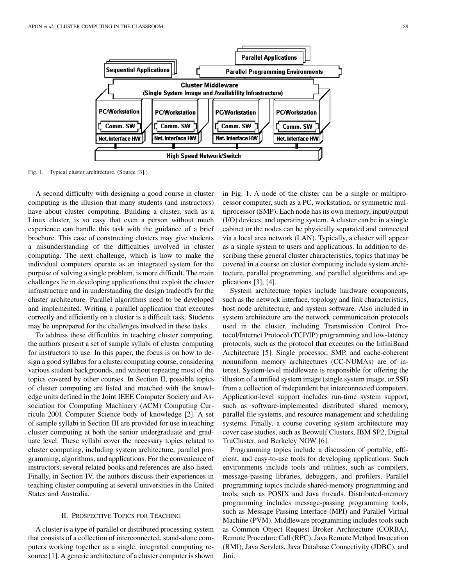

Fig. 1. Typical cluster architecture. (Source [\[3](#page-6-0)].)

A second difficulty with designing a good course in cluster computing is the illusion that many students (and instructors) have about cluster computing. Building a cluster, such as a Linux cluster, is so easy that even a person without much experience can handle this task with the guidance of a brief brochure. This ease of constructing clusters may give students a misunderstanding of the difficulties involved in cluster computing. The next challenge, which is how to make the individual computers operate as an integrated system for the purpose of solving a single problem, is more difficult. The main challenges lie in developing applications that exploit the cluster infrastructure and in understanding the design tradeoffs for the cluster architecture. Parallel algorithms need to be developed and implemented. Writing a parallel application that executes correctly and efficiently on a cluster is a difficult task. Students may be unprepared for the challenges involved in these tasks.

To address these difficulties in teaching cluster computing, the authors present a set of sample syllabi of cluster computing for instructors to use. In this paper, the focus is on how to design a good syllabus for a cluster computing course, considering various student backgrounds, and without repeating most of the topics covered by other courses. In Section II, possible topics of cluster computing are listed and matched with the knowledge units defined in the Joint IEEE Computer Society and Association for Computing Machinery (ACM) Computing Curricula 2001 Computer Science body of knowledge [[2\]](#page-6-0). A set of sample syllabi in Section III are provided for use in teaching cluster computing at both the senior undergraduate and graduate level. These syllabi cover the necessary topics related to cluster computing, including system architecture, parallel programming, algorithms, and applications. For the convenience of instructors, several related books and references are also listed. Finally, in Section IV, the authors discuss their experiences in teaching cluster computing at several universities in the United States and Australia.

#### II. PROSPECTIVE TOPICS FOR TEACHING

A cluster is a type of parallel or distributed processing system that consists of a collection of interconnected, stand-alone computers working together as a single, integrated computing resource [\[1](#page-6-0)]. A generic architecture of a cluster computer is shown in Fig. 1. A node of the cluster can be a single or multiprocessor computer, such as a PC, workstation, or symmetric multiprocessor (SMP). Each node has its own memory, input/output (I/O) devices, and operating system. A cluster can be in a single cabinet or the nodes can be physically separated and connected via a local area network (LAN). Typically, a cluster will appear as a single system to users and applications. In addition to describing these general cluster characteristics, topics that may be covered in a course on cluster computing include system architecture, parallel programming, and parallel algorithms and applications [\[3](#page-6-0)], [\[4](#page-6-0)].

System architecture topics include hardware components, such as the network interface, topology and link characteristics, host node architecture, and system software. Also included in system architecture are the network communication protocols used in the cluster, including Transmission Control Protocol/Internet Protocol (TCP/IP) programming and low-latency protocols, such as the protocol that executes on the InfiniBand Architecture [\[5](#page-6-0)]. Single processor, SMP, and cache-coherent nonuniform memory architectures (CC-NUMAs) are of interest. System-level middleware is responsible for offering the illusion of a unified system image (single system image, or SSI) from a collection of independent but interconnected computers. Application-level support includes run-time system support, such as software-implemented distributed shared memory, parallel file systems, and resource management and scheduling systems. Finally, a course covering system architecture may cover case studies, such as Beowulf Clusters, IBM SP2, Digital TruCluster, and Berkeley NOW [[6\]](#page-6-0).

Programming topics include a discussion of portable, efficient, and easy-to-use tools for developing applications. Such environments include tools and utilities, such as compilers, message-passing libraries, debuggers, and profilers. Parallel programming topics include shared-memory programming and tools, such as POSIX and Java threads. Distributed-memory programming includes message-passing programming tools, such as Message Passing Interface (MPI) and Parallel Virtual Machine (PVM). Middleware programming includes tools such as Common Object Request Broker Architecture (CORBA), Remote Procedure Call (RPC), Java Remote Method Invocation (RMI), Java Servlets, Java Database Connectivity (JDBC), and Jini.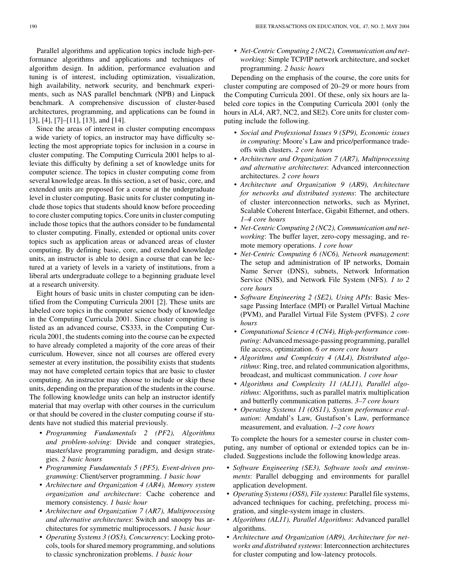Parallel algorithms and application topics include high-performance algorithms and applications and techniques of algorithm design. In addition, performance evaluation and tuning is of interest, including optimization, visualization, high availability, network security, and benchmark experiments, such as NAS parallel benchmark (NPB) and Linpack benchmark. A comprehensive discussion of cluster-based architectures, programming, and applications can be found in [[3\]](#page-6-0), [[4\]](#page-6-0), [[7\]](#page-6-0)–[\[11](#page-6-0)], [\[13](#page-6-0)], and [\[14](#page-6-0)].

Since the areas of interest in cluster computing encompass a wide variety of topics, an instructor may have difficulty selecting the most appropriate topics for inclusion in a course in cluster computing. The Computing Curricula 2001 helps to alleviate this difficulty by defining a set of knowledge units for computer science. The topics in cluster computing come from several knowledge areas. In this section, a set of basic, core, and extended units are proposed for a course at the undergraduate level in cluster computing. Basic units for cluster computing include those topics that students should know before proceeding to core cluster computing topics. Core units in cluster computing include those topics that the authors consider to be fundamental to cluster computing. Finally, extended or optional units cover topics such as application areas or advanced areas of cluster computing. By defining basic, core, and extended knowledge units, an instructor is able to design a course that can be lectured at a variety of levels in a variety of institutions, from a liberal arts undergraduate college to a beginning graduate level at a research university.

Eight hours of basic units in cluster computing can be identified from the Computing Curricula 2001 [[2\]](#page-6-0). These units are labeled core topics in the computer science body of knowledge in the Computing Curricula 2001. Since cluster computing is listed as an advanced course, CS333, in the Computing Curricula 2001, the students coming into the course can be expected to have already completed a majority of the core areas of their curriculum. However, since not all courses are offered every semester at every institution, the possibility exists that students may not have completed certain topics that are basic to cluster computing. An instructor may choose to include or skip these units, depending on the preparation of the students in the course. The following knowledge units can help an instructor identify material that may overlap with other courses in the curriculum or that should be covered in the cluster computing course if students have not studied this material previously.

- *Programming Fundamentals 2 (PF2), Algorithms and problem-solving*: Divide and conquer strategies, master/slave programming paradigm, and design strategies. *2 basic hours*
- *Programming Fundamentals 5 (PF5), Event-driven programming*: Client/server programming. *1 basic hour*
- *Architecture and Organization 4 (AR4), Memory system organization and architecture*: Cache coherence and memory consistency. *1 basic hour*
- *Architecture and Organization 7 (AR7), Multiprocessing and alternative architectures*: Switch and snoopy bus architectures for symmetric multiprocessors. *1 basic hour*
- *Operating Systems 3 (OS3), Concurrency*: Locking protocols, tools for shared memory programming, and solutions to classic synchronization problems. *1 basic hour*

• *Net-Centric Computing 2 (NC2), Communication and networking*: Simple TCP/IP network architecture, and socket programming. *2 basic hours*

Depending on the emphasis of the course, the core units for cluster computing are composed of 20–29 or more hours from the Computing Curricula 2001. Of these, only six hours are labeled core topics in the Computing Curricula 2001 (only the hours in AL4, AR7, NC2, and SE2). Core units for cluster computing include the following.

- *Social and Professional Issues 9 (SP9), Economic issues in computing*: Moore's Law and price/performance tradeoffs with clusters. *2 core hours*
- *Architecture and Organization 7 (AR7), Multiprocessing and alternative architectures*: Advanced interconnection architectures. *2 core hours*
- *Architecture and Organization 9 (AR9), Architecture for networks and distributed systems*: The architecture of cluster interconnection networks, such as Myrinet, Scalable Coherent Interface, Gigabit Ethernet, and others. *1–4 core hours*
- *Net-Centric Computing 2 (NC2), Communication and networking*: The buffer layer, zero-copy messaging, and remote memory operations. *1 core hour*
- *Net-Centric Computing 6 (NC6), Network management*: The setup and administration of IP networks, Domain Name Server (DNS), subnets, Network Information Service (NIS), and Network File System (NFS). *1 to 2 core hours*
- *Software Engineering 2 (SE2), Using APIs*: Basic Message Passing Interface (MPI) or Parallel Virtual Machine (PVM), and Parallel Virtual File System (PVFS). *2 core hours*
- *Computational Science 4 (CN4), High-performance computing*: Advanced message-passing programming, parallel file access, optimization. *6 or more core hours*
- *Algorithms and Complexity 4 (AL4), Distributed algorithms*: Ring, tree, and related communication algorithms, broadcast, and multicast communication. *1 core hour*
- *Algorithms and Complexity 11 (AL11), Parallel algorithms*: Algorithms, such as parallel matrix multiplication and butterfly communication patterns. *3–7 core hours*
- *Operating Systems 11 (OS11), System performance evaluation*: Amdahl's Law, Gustafson's Law, performance measurement, and evaluation. *1–2 core hours*

To complete the hours for a semester course in cluster computing, any number of optional or extended topics can be included. Suggestions include the following knowledge areas.

- *Software Engineering (SE3), Software tools and environments*: Parallel debugging and environments for parallel application development.
- *Operating Systems (OS8), File systems*: Parallel file systems, advanced techniques for caching, prefetching, process migration, and single-system image in clusters.
- *Algorithms (AL11), Parallel Algorithms*: Advanced parallel algorithms.
- *Architecture and Organization (AR9), Architecture for networks and distributed systems*: Interconnection architectures for cluster computing and low-latency protocols.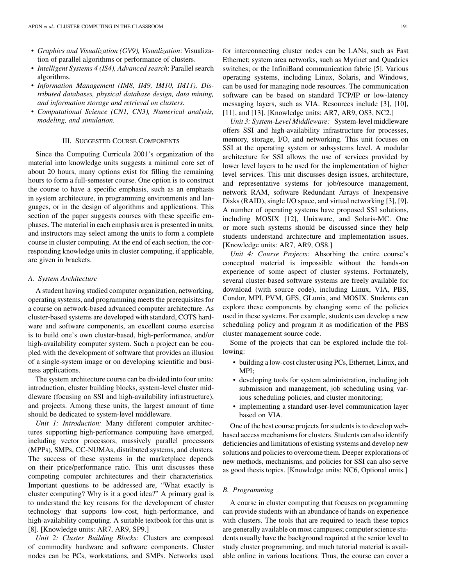- *Graphics and Visualization (GV9), Visualization*: Visualization of parallel algorithms or performance of clusters.
- *Intelligent Systems 4 (IS4), Advanced search*: Parallel search algorithms.
- *Information Management (IM8, IM9, IM10, IM11), Distributed databases, physical database design, data mining, and information storage and retrieval on clusters.*
- *Computational Science (CN1, CN3), Numerical analysis, modeling, and simulation.*

## III. SUGGESTED COURSE COMPONENTS

Since the Computing Curricula 2001's organization of the material into knowledge units suggests a minimal core set of about 20 hours, many options exist for filling the remaining hours to form a full-semester course. One option is to construct the course to have a specific emphasis, such as an emphasis in system architecture, in programming environments and languages, or in the design of algorithms and applications. This section of the paper suggests courses with these specific emphases. The material in each emphasis area is presented in units, and instructors may select among the units to form a complete course in cluster computing. At the end of each section, the corresponding knowledge units in cluster computing, if applicable, are given in brackets.

## *A. System Architecture*

A student having studied computer organization, networking, operating systems, and programming meets the prerequisites for a course on network-based advanced computer architecture. As cluster-based systems are developed with standard, COTS hardware and software components, an excellent course exercise is to build one's own cluster-based, high-performance, and/or high-availability computer system. Such a project can be coupled with the development of software that provides an illusion of a single-system image or on developing scientific and business applications.

The system architecture course can be divided into four units: introduction, cluster building blocks, system-level cluster middleware (focusing on SSI and high-availability infrastructure), and projects. Among these units, the largest amount of time should be dedicated to system-level middleware.

*Unit 1: Introduction:* Many different computer architectures supporting high-performance computing have emerged, including vector processors, massively parallel processors (MPPs), SMPs, CC-NUMAs, distributed systems, and clusters. The success of these systems in the marketplace depends on their price/performance ratio. This unit discusses these competing computer architectures and their characteristics. Important questions to be addressed are, "What exactly is cluster computing? Why is it a good idea?" A primary goal is to understand the key reasons for the development of cluster technology that supports low-cost, high-performance, and high-availability computing. A suitable textbook for this unit is [\[8](#page-6-0)]. [Knowledge units: AR7, AR9, SP9.]

*Unit 2: Cluster Building Blocks:* Clusters are composed of commodity hardware and software components. Cluster nodes can be PCs, workstations, and SMPs. Networks used for interconnecting cluster nodes can be LANs, such as Fast Ethernet; system area networks, such as Myrinet and Quadrics switches; or the InfiniBand communication fabric [[5\]](#page-6-0). Various operating systems, including Linux, Solaris, and Windows, can be used for managing node resources. The communication software can be based on standard TCP/IP or low-latency messaging layers, such as VIA. Resources include [\[3](#page-6-0)], [\[10](#page-6-0)], [\[11](#page-6-0)], and [[13\]](#page-6-0). [Knowledge units: AR7, AR9, OS3, NC2.]

*Unit 3: System-Level Middleware:* System-level middleware offers SSI and high-availability infrastructure for processes, memory, storage, I/O, and networking. This unit focuses on SSI at the operating system or subsystems level. A modular architecture for SSI allows the use of services provided by lower level layers to be used for the implementation of higher level services. This unit discusses design issues, architecture, and representative systems for job/resource management, network RAM, software Redundant Arrays of Inexpensive Disks (RAID), single I/O space, and virtual networking [\[3](#page-6-0)], [\[9](#page-6-0)]. A number of operating systems have proposed SSI solutions, including MOSIX [[12\]](#page-6-0), Unixware, and Solaris-MC. One or more such systems should be discussed since they help students understand architecture and implementation issues. [Knowledge units: AR7, AR9, OS8.]

*Unit 4: Course Projects:* Absorbing the entire course's conceptual material is impossible without the hands-on experience of some aspect of cluster systems. Fortunately, several cluster-based software systems are freely available for download (with source code), including Linux, VIA, PBS, Condor, MPI, PVM, GFS, GLunix, and MOSIX. Students can explore these components by changing some of the policies used in these systems. For example, students can develop a new scheduling policy and program it as modification of the PBS cluster management source code.

Some of the projects that can be explored include the following:

- building a low-cost cluster using PCs, Ethernet, Linux, and MPI;
- developing tools for system administration, including job submission and management, job scheduling using various scheduling policies, and cluster monitoring;
- implementing a standard user-level communication layer based on VIA.

One of the best course projects for students is to develop webbased access mechanisms for clusters. Students can also identify deficiencies and limitations of existing systems and develop new solutions and policies to overcome them. Deeper explorations of new methods, mechanisms, and policies for SSI can also serve as good thesis topics. [Knowledge units: NC6, Optional units.]

## *B. Programming*

A course in cluster computing that focuses on programming can provide students with an abundance of hands-on experience with clusters. The tools that are required to teach these topics are generally available on most campuses; computer science students usually have the background required at the senior level to study cluster programming, and much tutorial material is available online in various locations. Thus, the course can cover a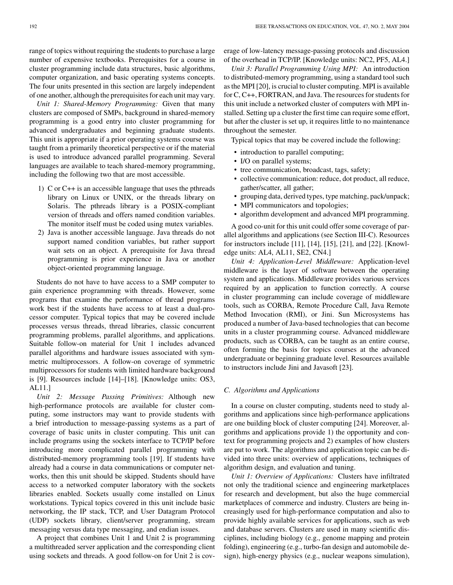range of topics without requiring the students to purchase a large number of expensive textbooks. Prerequisites for a course in cluster programming include data structures, basic algorithms, computer organization, and basic operating systems concepts. The four units presented in this section are largely independent of one another, although the prerequisites for each unit may vary.

*Unit 1: Shared-Memory Programming:* Given that many clusters are composed of SMPs, background in shared-memory programming is a good entry into cluster programming for advanced undergraduates and beginning graduate students. This unit is appropriate if a prior operating systems course was taught from a primarily theoretical perspective or if the material is used to introduce advanced parallel programming. Several languages are available to teach shared-memory programming, including the following two that are most accessible.

- 1) C or C++ is an accessible language that uses the pthreads library on Linux or UNIX, or the threads library on Solaris. The pthreads library is a POSIX-compliant version of threads and offers named condition variables. The monitor itself must be coded using mutex variables.
- 2) Java is another accessible language. Java threads do not support named condition variables, but rather support wait sets on an object. A prerequisite for Java thread programming is prior experience in Java or another object-oriented programming language.

Students do not have to have access to a SMP computer to gain experience programming with threads. However, some programs that examine the performance of thread programs work best if the students have access to at least a dual-processor computer. Typical topics that may be covered include processes versus threads, thread libraries, classic concurrent programming problems, parallel algorithms, and applications. Suitable follow-on material for Unit 1 includes advanced parallel algorithms and hardware issues associated with symmetric multiprocessors. A follow-on coverage of symmetric multiprocessors for students with limited hardware background is [[9\]](#page-6-0). Resources include [[14\]](#page-6-0)–[[18](#page-6-0)]. [Knowledge units: OS3, AL11.]

*Unit 2: Message Passing Primitives:* Although new high-performance protocols are available for cluster computing, some instructors may want to provide students with a brief introduction to message-passing systems as a part of coverage of basic units in cluster computing. This unit can include programs using the sockets interface to TCP/IP before introducing more complicated parallel programming with distributed-memory programming tools [\[19](#page-6-0)]. If students have already had a course in data communications or computer networks, then this unit should be skipped. Students should have access to a networked computer laboratory with the sockets libraries enabled. Sockets usually come installed on Linux workstations. Typical topics covered in this unit include basic networking, the IP stack, TCP, and User Datagram Protocol (UDP) sockets library, client/server programming, stream messaging versus data type messaging, and endian issues.

A project that combines Unit 1 and Unit 2 is programming a multithreaded server application and the corresponding client using sockets and threads. A good follow-on for Unit 2 is coverage of low-latency message-passing protocols and discussion of the overhead in TCP/IP. [Knowledge units: NC2, PF5, AL4.]

*Unit 3: Parallel Programming Using MPI:* An introduction to distributed-memory programming, using a standard tool such as the MPI [[20\]](#page-6-0), is crucial to cluster computing. MPI is available for C, C++, FORTRAN, and Java. The resources for students for this unit include a networked cluster of computers with MPI installed. Setting up a cluster the first time can require some effort, but after the cluster is set up, it requires little to no maintenance throughout the semester.

Typical topics that may be covered include the following:

- introduction to parallel computing;
- I/O on parallel systems;
- tree communication, broadcast, tags, safety;
- collective communication: reduce, dot product, all reduce, gather/scatter, all gather;
- grouping data, derived types, type matching, pack/unpack;
- MPI communicators and topologies;
- algorithm development and advanced MPI programming.

A good co-unit for this unit could offer some coverage of parallel algorithms and applications (see Section III-C). Resources for instructors include [\[11](#page-6-0)], [[14\]](#page-6-0), [[15\]](#page-6-0), [[21\]](#page-6-0), and [[22\]](#page-6-0). [Knowledge units: AL4, AL11, SE2, CN4.]

*Unit 4: Application-Level Middleware:* Application-level middleware is the layer of software between the operating system and applications. Middleware provides various services required by an application to function correctly. A course in cluster programming can include coverage of middleware tools, such as CORBA, Remote Procedure Call, Java Remote Method Invocation (RMI), or Jini. Sun Microsystems has produced a number of Java-based technologies that can become units in a cluster programming course. Advanced middleware products, such as CORBA, can be taught as an entire course, often forming the basis for topics courses at the advanced undergraduate or beginning graduate level. Resources available to instructors include Jini and Javasoft [\[23](#page-7-0)].

# *C. Algorithms and Applications*

In a course on cluster computing, students need to study algorithms and applications since high-performance applications are one building block of cluster computing [[24\]](#page-7-0). Moreover, algorithms and applications provide 1) the opportunity and context for programming projects and 2) examples of how clusters are put to work. The algorithms and application topic can be divided into three units: overview of applications, techniques of algorithm design, and evaluation and tuning.

*Unit 1: Overview of Applications:* Clusters have infiltrated not only the traditional science and engineering marketplaces for research and development, but also the huge commercial marketplaces of commerce and industry. Clusters are being increasingly used for high-performance computation and also to provide highly available services for applications, such as web and database servers. Clusters are used in many scientific disciplines, including biology (e.g., genome mapping and protein folding), engineering (e.g., turbo-fan design and automobile design), high-energy physics (e.g., nuclear weapons simulation),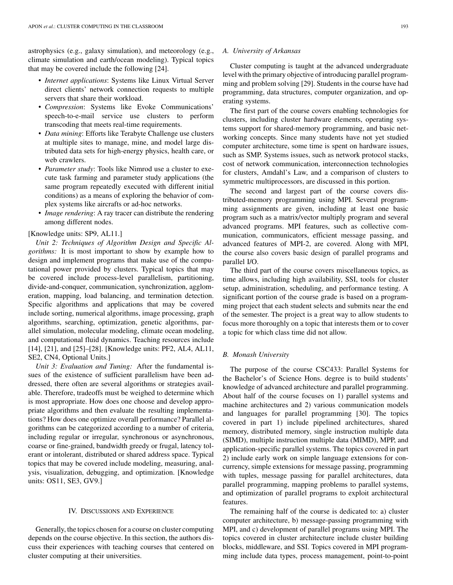astrophysics (e.g., galaxy simulation), and meteorology (e.g., climate simulation and earth/ocean modeling). Typical topics that may be covered include the following [[24\]](#page-7-0).

- *Internet applications*: Systems like Linux Virtual Server direct clients' network connection requests to multiple servers that share their workload.
- *Compression*: Systems like Evoke Communications' speech-to-e-mail service use clusters to perform transcoding that meets real-time requirements.
- *Data mining*: Efforts like Terabyte Challenge use clusters at multiple sites to manage, mine, and model large distributed data sets for high-energy physics, health care, or web crawlers.
- *Parameter study*: Tools like Nimrod use a cluster to execute task farming and parameter study applications (the same program repeatedly executed with different initial conditions) as a means of exploring the behavior of complex systems like aircrafts or ad-hoc networks.
- *Image rendering*: A ray tracer can distribute the rendering among different nodes.

#### [Knowledge units: SP9, AL11.]

*Unit 2: Techniques of Algorithm Design and Specific Algorithms:* It is most important to show by example how to design and implement programs that make use of the computational power provided by clusters. Typical topics that may be covered include process-level parallelism, partitioning, divide-and-conquer, communication, synchronization, agglomeration, mapping, load balancing, and termination detection. Specific algorithms and applications that may be covered include sorting, numerical algorithms, image processing, graph algorithms, searching, optimization, genetic algorithms, parallel simulation, molecular modeling, climate ocean modeling, and computational fluid dynamics. Teaching resources include [\[14](#page-6-0)], [\[21](#page-6-0)], and [\[25](#page-7-0)]–[[28\]](#page-7-0). [Knowledge units: PF2, AL4, AL11, SE2, CN4, Optional Units.]

*Unit 3: Evaluation and Tuning:* After the fundamental issues of the existence of sufficient parallelism have been addressed, there often are several algorithms or strategies available. Therefore, tradeoffs must be weighed to determine which is most appropriate. How does one choose and develop appropriate algorithms and then evaluate the resulting implementations? How does one optimize overall performance? Parallel algorithms can be categorized according to a number of criteria, including regular or irregular, synchronous or asynchronous, coarse or fine-grained, bandwidth greedy or frugal, latency tolerant or intolerant, distributed or shared address space. Typical topics that may be covered include modeling, measuring, analysis, visualization, debugging, and optimization. [Knowledge units: OS11, SE3, GV9.]

#### IV. DISCUSSIONS AND EXPERIENCE

Generally, the topics chosen for a course on cluster computing depends on the course objective. In this section, the authors discuss their experiences with teaching courses that centered on cluster computing at their universities.

## *A. University of Arkansas*

Cluster computing is taught at the advanced undergraduate level with the primary objective of introducing parallel programming and problem solving [\[29](#page-7-0)]. Students in the course have had programming, data structures, computer organization, and operating systems.

The first part of the course covers enabling technologies for clusters, including cluster hardware elements, operating systems support for shared-memory programming, and basic networking concepts. Since many students have not yet studied computer architecture, some time is spent on hardware issues, such as SMP. Systems issues, such as network protocol stacks, cost of network communication, interconnection technologies for clusters, Amdahl's Law, and a comparison of clusters to symmetric multiprocessors, are discussed in this portion.

The second and largest part of the course covers distributed-memory programming using MPI. Several programming assignments are given, including at least one basic program such as a matrix/vector multiply program and several advanced programs. MPI features, such as collective communication, communicators, efficient message passing, and advanced features of MPI-2, are covered. Along with MPI, the course also covers basic design of parallel programs and parallel I/O.

The third part of the course covers miscellaneous topics, as time allows, including high availability, SSI, tools for cluster setup, administration, scheduling, and performance testing. A significant portion of the course grade is based on a programming project that each student selects and submits near the end of the semester. The project is a great way to allow students to focus more thoroughly on a topic that interests them or to cover a topic for which class time did not allow.

#### *B. Monash University*

The purpose of the course CSC433: Parallel Systems for the Bachelor's of Science Hons. degree is to build students' knowledge of advanced architecture and parallel programming. About half of the course focuses on 1) parallel systems and machine architectures and 2) various communication models and languages for parallel programming [[30\]](#page-7-0). The topics covered in part 1) include pipelined architectures, shared memory, distributed memory, single instruction multiple data (SIMD), multiple instruction multiple data (MIMD), MPP, and application-specific parallel systems. The topics covered in part 2) include early work on simple language extensions for concurrency, simple extensions for message passing, programming with tuples, message passing for parallel architectures, data parallel programming, mapping problems to parallel systems, and optimization of parallel programs to exploit architectural features.

The remaining half of the course is dedicated to: a) cluster computer architecture, b) message-passing programming with MPI, and c) development of parallel programs using MPI. The topics covered in cluster architecture include cluster building blocks, middleware, and SSI. Topics covered in MPI programming include data types, process management, point-to-point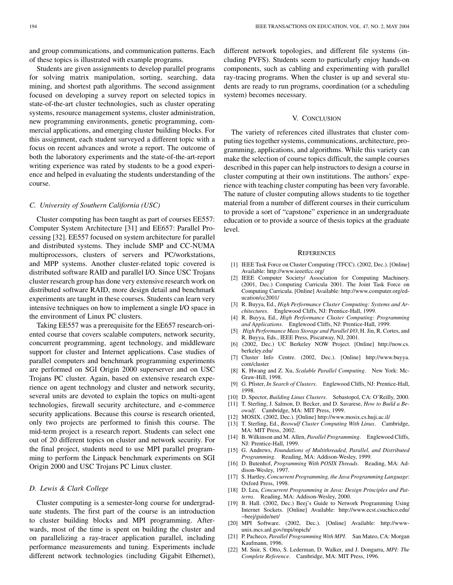<span id="page-6-0"></span>and group communications, and communication patterns. Each of these topics is illustrated with example programs.

Students are given assignments to develop parallel programs for solving matrix manipulation, sorting, searching, data mining, and shortest path algorithms. The second assignment focused on developing a survey report on selected topics in state-of-the-art cluster technologies, such as cluster operating systems, resource management systems, cluster administration, new programming environments, genetic programming, commercial applications, and emerging cluster building blocks. For this assignment, each student surveyed a different topic with a focus on recent advances and wrote a report. The outcome of both the laboratory experiments and the state-of-the-art-report writing experience was rated by students to be a good experience and helped in evaluating the students understanding of the course.

## *C. University of Southern California (USC)*

Cluster computing has been taught as part of courses EE557: Computer System Architecture [\[31](#page-7-0)] and EE657: Parallel Processing [[32\]](#page-7-0). EE557 focused on system architecture for parallel and distributed systems. They include SMP and CC-NUMA multiprocessors, clusters of servers and PC/workstations, and MPP systems. Another cluster-related topic covered is distributed software RAID and parallel I/O. Since USC Trojans cluster research group has done very extensive research work on distributed software RAID, more design detail and benchmark experiments are taught in these courses. Students can learn very intensive techniques on how to implement a single I/O space in the environment of Linux PC clusters.

Taking EE557 was a prerequisite for the EE657 research-oriented course that covers scalable computers, network security, concurrent programming, agent technology, and middleware support for cluster and Internet applications. Case studies of parallel computers and benchmark programming experiments are performed on SGI Origin 2000 superserver and on USC Trojans PC cluster. Again, based on extensive research experience on agent technology and cluster and network security, several units are devoted to explain the topics on multi-agent technologies, firewall security architecture, and e-commerce security applications. Because this course is research oriented, only two projects are performed to finish this course. The mid-term project is a research report. Students can select one out of 20 different topics on cluster and network security. For the final project, students need to use MPI parallel programming to perform the Linpack benchmark experiments on SGI Origin 2000 and USC Trojans PC Linux cluster.

## *D. Lewis & Clark College*

Cluster computing is a semester-long course for undergraduate students. The first part of the course is an introduction to cluster building blocks and MPI programming. Afterwards, most of the time is spent on building the cluster and on parallelizing a ray-tracer application parallel, including performance measurements and tuning. Experiments include different network technologies (including Gigabit Ethernet),

different network topologies, and different file systems (including PVFS). Students seem to particularly enjoy hands-on components, such as cabling and experimenting with parallel ray-tracing programs. When the cluster is up and several students are ready to run programs, coordination (or a scheduling system) becomes necessary.

#### V. CONCLUSION

The variety of references cited illustrates that cluster computing ties together systems, communications, architecture, programming, applications, and algorithms. While this variety can make the selection of course topics difficult, the sample courses described in this paper can help instructors to design a course in cluster computing at their own institutions. The authors' experience with teaching cluster computing has been very favorable. The nature of cluster computing allows students to tie together material from a number of different courses in their curriculum to provide a sort of "capstone" experience in an undergraduate education or to provide a source of thesis topics at the graduate level.

#### **REFERENCES**

- [1] IEEE Task Force on Cluster Computing (TFCC). (2002, Dec.). [Online] Available: http://www.ieeetfcc.org/
- [2] IEEE Computer Society/ Association for Computing Machinery. (2001, Dec.) Computing Curricula 2001. The Joint Task Force on Computing Curricula. [Online] Available: http://www.computer.org/education/cc2001/
- [3] R. Buyya, Ed., *High Performance Cluster Computing: Systems and Architectures*. Englewood Cliffs, NJ: Prentice-Hall, 1999.
- [4] R. Buyya, Ed., *High Performance Cluster Computing: Programming and Applications*. Englewood Cliffs, NJ: Prentice-Hall, 1999.
- [5] *High Performance Mass Storage and Parallel I/O*, H. Jin, R. Cortes, and R. Buyya, Eds., IEEE Press, Piscatway, NJ, 2001.
- [6] (2002, Dec.) UC Berkeley NOW Project. [Online] http://now.cs. berkeley.edu/
- [7] Cluster Info Centre. (2002, Dec.). [Online] http://www.buyya. com/cluster
- [8] K. Hwang and Z. Xu, *Scalable Parallel Computing*. New York: Mc-Graw-Hill, 1998.
- [9] G. Pfister, *In Search of Clusters*. Englewood Cliffs, NJ: Prentice-Hall, 1998.
- [10] D. Spector, *Building Linux Clusters*. Sebastopol, CA: O'Reilly, 2000.
- [11] T. Sterling, J. Salmon, D. Becker, and D. Savarese, *How to Build a Beowulf*. Cambridge, MA: MIT Press, 1999.
- [12] MOSIX. (2002, Dec.). [Online] http://www.mosix.cs.huji.ac.il/
- [13] T. Sterling, Ed., *Beowulf Cluster Computing With Linux*. Cambridge, MA: MIT Press, 2002.
- [14] B. Wilkinson and M. Allen, *Parallel Programming*. Englewood Cliffs, NJ: Prentice-Hall, 1999.
- [15] G. Andrews, *Foundations of Multithreaded, Parallel, and Distributed Programming*. Reading, MA: Addison-Wesley, 1999.
- [16] D. Butenhof, *Programming With POSIX Threads*. Reading, MA: Addison-Wesley, 1997.
- [17] S. Hartley, *Concurrent Programming, the Java Programming Language*: Oxford Press, 1998.
- [18] D. Lea, *Concurrent Programming in Java: Design Principles and Patterns*. Reading, MA: Addison-Wesley, 2000.
- [19] B. Hall. (2002, Dec.) Beej's Guide to Network Programming Using Internet Sockets. [Online] Available: http://www.ecst.csuchico.edu/ ~beej/guide/net/
- [20] MPI Software. (2002, Dec.). [Online] Available: http://wwwunix.mcs.anl.gov/mpi/mpich/
- [21] P. Pacheco, *Parallel Programming With MPI*. San Mateo, CA: Morgan Kaufmann, 1996.
- [22] M. Snir, S. Otto, S. Lederman, D. Walker, and J. Dongarra, *MPI: The Complete Reference*. Cambridge, MA: MIT Press, 1996.